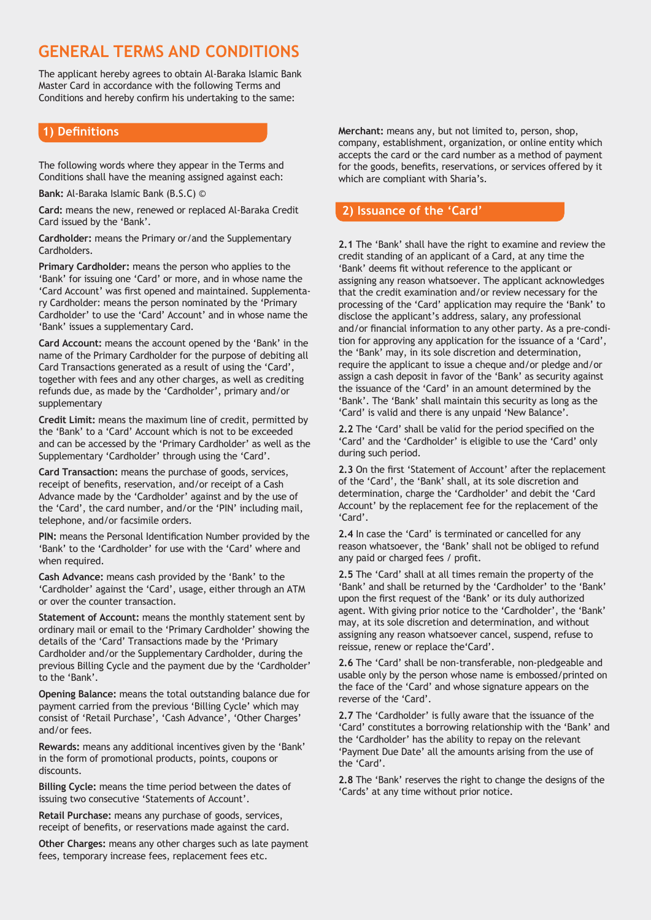# **GENERAL TERMS AND CONDITIONS**

The applicant hereby agrees to obtain Al-Baraka Islamic Bank Master Card in accordance with the following Terms and Conditions and hereby confirm his undertaking to the same:

## **1) Definitions**

The following words where they appear in the Terms and Conditions shall have the meaning assigned against each:

**Bank:** Al-Baraka Islamic Bank (B.S.C) ©

**Card:** means the new, renewed or replaced Al-Baraka Credit Card issued by the 'Bank'.

**Cardholder:** means the Primary or/and the Supplementary Cardholders.

**Primary Cardholder:** means the person who applies to the 'Bank' for issuing one 'Card' or more, and in whose name the 'Card Account' was first opened and maintained. Supplementary Cardholder: means the person nominated by the 'Primary Cardholder' to use the 'Card' Account' and in whose name the 'Bank' issues a supplementary Card.

**Card Account:** means the account opened by the 'Bank' in the name of the Primary Cardholder for the purpose of debiting all Card Transactions generated as a result of using the 'Card', together with fees and any other charges, as well as crediting refunds due, as made by the 'Cardholder', primary and/or supplementary

**Credit Limit:** means the maximum line of credit, permitted by the 'Bank' to a 'Card' Account which is not to be exceeded and can be accessed by the 'Primary Cardholder' as well as the Supplementary 'Cardholder' through using the 'Card'.

**Card Transaction:** means the purchase of goods, services, receipt of benefits, reservation, and/or receipt of a Cash Advance made by the 'Cardholder' against and by the use of the 'Card', the card number, and/or the 'PIN' including mail, telephone, and/or facsimile orders.

**PIN:** means the Personal Identification Number provided by the 'Bank' to the 'Cardholder' for use with the 'Card' where and when required.

**Cash Advance:** means cash provided by the 'Bank' to the 'Cardholder' against the 'Card', usage, either through an ATM or over the counter transaction.

**Statement of Account:** means the monthly statement sent by ordinary mail or email to the 'Primary Cardholder' showing the details of the 'Card' Transactions made by the 'Primary Cardholder and/or the Supplementary Cardholder, during the previous Billing Cycle and the payment due by the 'Cardholder' to the 'Bank'.

**Opening Balance:** means the total outstanding balance due for payment carried from the previous 'Billing Cycle' which may consist of 'Retail Purchase', 'Cash Advance', 'Other Charges' and/or fees.

**Rewards:** means any additional incentives given by the 'Bank' in the form of promotional products, points, coupons or discounts.

**Billing Cycle:** means the time period between the dates of issuing two consecutive 'Statements of Account'.

**Retail Purchase:** means any purchase of goods, services, receipt of benefits, or reservations made against the card.

**Other Charges:** means any other charges such as late payment fees, temporary increase fees, replacement fees etc.

**Merchant:** means any, but not limited to, person, shop, company, establishment, organization, or online entity which accepts the card or the card number as a method of payment for the goods, benefits, reservations, or services offered by it which are compliant with Sharia's.

## **2) Issuance of the 'Card'**

**2.1** The 'Bank' shall have the right to examine and review the credit standing of an applicant of a Card, at any time the 'Bank' deems fit without reference to the applicant or assigning any reason whatsoever. The applicant acknowledges that the credit examination and/or review necessary for the processing of the 'Card' application may require the 'Bank' to disclose the applicant's address, salary, any professional and/or financial information to any other party. As a pre-condition for approving any application for the issuance of a 'Card', the 'Bank' may, in its sole discretion and determination, require the applicant to issue a cheque and/or pledge and/or assign a cash deposit in favor of the 'Bank' as security against the issuance of the 'Card' in an amount determined by the 'Bank'. The 'Bank' shall maintain this security as long as the 'Card' is valid and there is any unpaid 'New Balance'.

**2.2** The 'Card' shall be valid for the period specified on the 'Card' and the 'Cardholder' is eligible to use the 'Card' only during such period.

**2.3** On the first 'Statement of Account' after the replacement of the 'Card', the 'Bank' shall, at its sole discretion and determination, charge the 'Cardholder' and debit the 'Card Account' by the replacement fee for the replacement of the 'Card'.

**2.4** In case the 'Card' is terminated or cancelled for any reason whatsoever, the 'Bank' shall not be obliged to refund any paid or charged fees / profit.

**2.5** The 'Card' shall at all times remain the property of the 'Bank' and shall be returned by the 'Cardholder' to the 'Bank' upon the first request of the 'Bank' or its duly authorized agent. With giving prior notice to the 'Cardholder', the 'Bank' may, at its sole discretion and determination, and without assigning any reason whatsoever cancel, suspend, refuse to reissue, renew or replace the'Card'.

**2.6** The 'Card' shall be non-transferable, non-pledgeable and usable only by the person whose name is embossed/printed on the face of the 'Card' and whose signature appears on the reverse of the 'Card'.

**2.7** The 'Cardholder' is fully aware that the issuance of the 'Card' constitutes a borrowing relationship with the 'Bank' and the 'Cardholder' has the ability to repay on the relevant 'Payment Due Date' all the amounts arising from the use of the 'Card'.

**2.8** The 'Bank' reserves the right to change the designs of the 'Cards' at any time without prior notice.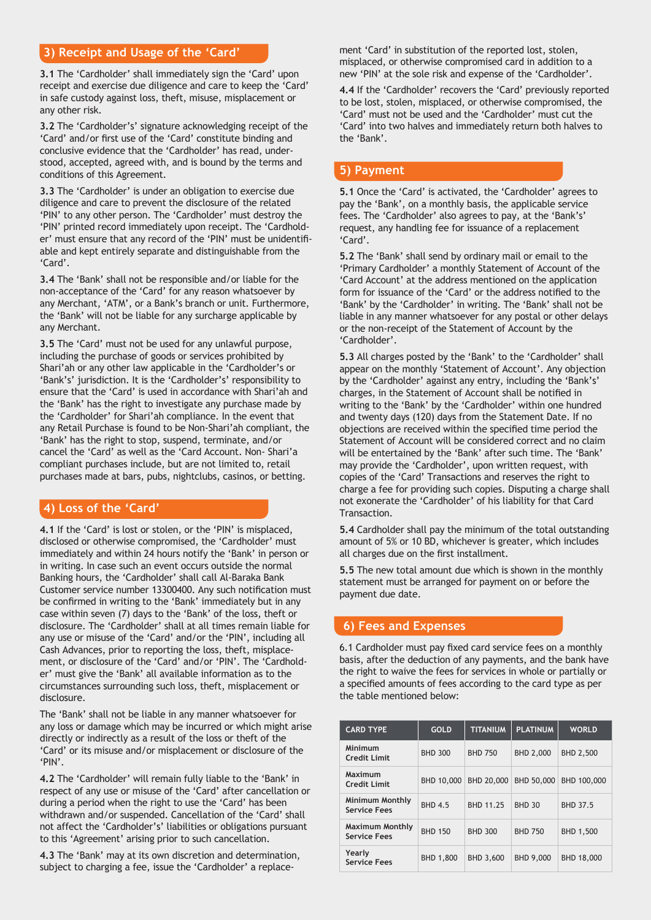## **3) Receipt and Usage of the 'Card'**

**3.1** The 'Cardholder' shall immediately sign the 'Card' upon receipt and exercise due diligence and care to keep the 'Card' in safe custody against loss, theft, misuse, misplacement or any other risk.

**3.2** The 'Cardholder's' signature acknowledging receipt of the 'Card' and/or first use of the 'Card' constitute binding and conclusive evidence that the 'Cardholder' has read, understood, accepted, agreed with, and is bound by the terms and conditions of this Agreement.

**3.3** The 'Cardholder' is under an obligation to exercise due diligence and care to prevent the disclosure of the related 'PIN' to any other person. The 'Cardholder' must destroy the 'PIN' printed record immediately upon receipt. The 'Cardholder' must ensure that any record of the 'PIN' must be unidentifiable and kept entirely separate and distinguishable from the 'Card'.

**3.4** The 'Bank' shall not be responsible and/or liable for the non-acceptance of the 'Card' for any reason whatsoever by any Merchant, 'ATM', or a Bank's branch or unit. Furthermore, the 'Bank' will not be liable for any surcharge applicable by any Merchant.

**3.5** The 'Card' must not be used for any unlawful purpose, including the purchase of goods or services prohibited by Shari'ah or any other law applicable in the 'Cardholder's or 'Bank's' jurisdiction. It is the 'Cardholder's' responsibility to ensure that the 'Card' is used in accordance with Shari'ah and the 'Bank' has the right to investigate any purchase made by the 'Cardholder' for Shari'ah compliance. In the event that any Retail Purchase is found to be Non-Shari'ah compliant, the 'Bank' has the right to stop, suspend, terminate, and/or cancel the 'Card' as well as the 'Card Account. Non- Shari'a compliant purchases include, but are not limited to, retail purchases made at bars, pubs, nightclubs, casinos, or betting.

#### **4) Loss of the 'Card'**

**4.1** If the 'Card' is lost or stolen, or the 'PIN' is misplaced, disclosed or otherwise compromised, the 'Cardholder' must immediately and within 24 hours notify the 'Bank' in person or in writing. In case such an event occurs outside the normal Banking hours, the 'Cardholder' shall call Al-Baraka Bank Customer service number 13300400. Any such notification must be confirmed in writing to the 'Bank' immediately but in any case within seven (7) days to the 'Bank' of the loss, theft or disclosure. The 'Cardholder' shall at all times remain liable for any use or misuse of the 'Card' and/or the 'PIN', including all Cash Advances, prior to reporting the loss, theft, misplacement, or disclosure of the 'Card' and/or 'PIN'. The 'Cardholder' must give the 'Bank' all available information as to the circumstances surrounding such loss, theft, misplacement or disclosure.

The 'Bank' shall not be liable in any manner whatsoever for any loss or damage which may be incurred or which might arise directly or indirectly as a result of the loss or theft of the 'Card' or its misuse and/or misplacement or disclosure of the 'PIN'.

**4.2** The 'Cardholder' will remain fully liable to the 'Bank' in respect of any use or misuse of the 'Card' after cancellation or during a period when the right to use the 'Card' has been withdrawn and/or suspended. Cancellation of the 'Card' shall not affect the 'Cardholder's' liabilities or obligations pursuant to this 'Agreement' arising prior to such cancellation.

**4.3** The 'Bank' may at its own discretion and determination, subject to charging a fee, issue the 'Cardholder' a replacement 'Card' in substitution of the reported lost, stolen, misplaced, or otherwise compromised card in addition to a new 'PIN' at the sole risk and expense of the 'Cardholder'.

**4.4** If the 'Cardholder' recovers the 'Card' previously reported to be lost, stolen, misplaced, or otherwise compromised, the 'Card' must not be used and the 'Cardholder' must cut the 'Card' into two halves and immediately return both halves to the 'Bank'.

### **5) Payment**

**5.1** Once the 'Card' is activated, the 'Cardholder' agrees to pay the 'Bank', on a monthly basis, the applicable service fees. The 'Cardholder' also agrees to pay, at the 'Bank's' request, any handling fee for issuance of a replacement 'Card'.

**5.2** The 'Bank' shall send by ordinary mail or email to the 'Primary Cardholder' a monthly Statement of Account of the 'Card Account' at the address mentioned on the application form for issuance of the 'Card' or the address notified to the 'Bank' by the 'Cardholder' in writing. The 'Bank' shall not be liable in any manner whatsoever for any postal or other delays or the non-receipt of the Statement of Account by the 'Cardholder'.

**5.3** All charges posted by the 'Bank' to the 'Cardholder' shall appear on the monthly 'Statement of Account'. Any objection by the 'Cardholder' against any entry, including the 'Bank's' charges, in the Statement of Account shall be notified in writing to the 'Bank' by the 'Cardholder' within one hundred and twenty days (120) days from the Statement Date. If no objections are received within the specified time period the Statement of Account will be considered correct and no claim will be entertained by the 'Bank' after such time. The 'Bank' may provide the 'Cardholder', upon written request, with copies of the 'Card' Transactions and reserves the right to charge a fee for providing such copies. Disputing a charge shall not exonerate the 'Cardholder' of his liability for that Card **Transaction** 

**5.4** Cardholder shall pay the minimum of the total outstanding amount of 5% or 10 BD, whichever is greater, which includes all charges due on the first installment.

**5.5** The new total amount due which is shown in the monthly statement must be arranged for payment on or before the payment due date.

#### **6) Fees and Expenses**

6.1 Cardholder must pay fixed card service fees on a monthly basis, after the deduction of any payments, and the bank have the right to waive the fees for services in whole or partially or a specified amounts of fees according to the card type as per the table mentioned below:

| <b>CARD TYPE</b>                              | <b>GOLD</b>    | <b>TITANIUM</b> | <b>PLATINUM</b> | <b>WORLD</b>     |
|-----------------------------------------------|----------------|-----------------|-----------------|------------------|
| Minimum<br><b>Credit Limit</b>                | <b>BHD 300</b> | <b>BHD 750</b>  | BHD 2,000       | <b>BHD 2.500</b> |
| Maximum<br><b>Credit Limit</b>                | BHD 10,000     | BHD 20,000      | BHD 50,000      | BHD 100,000      |
| Minimum Monthly<br><b>Service Fees</b>        | <b>BHD 4.5</b> | BHD 11.25       | <b>BHD 30</b>   | BHD 37.5         |
| <b>Maximum Monthly</b><br><b>Service Fees</b> | <b>BHD 150</b> | <b>BHD 300</b>  | <b>BHD 750</b>  | BHD 1,500        |
| Yearly<br><b>Service Fees</b>                 | BHD 1,800      | BHD 3.600       | BHD 9.000       | BHD 18,000       |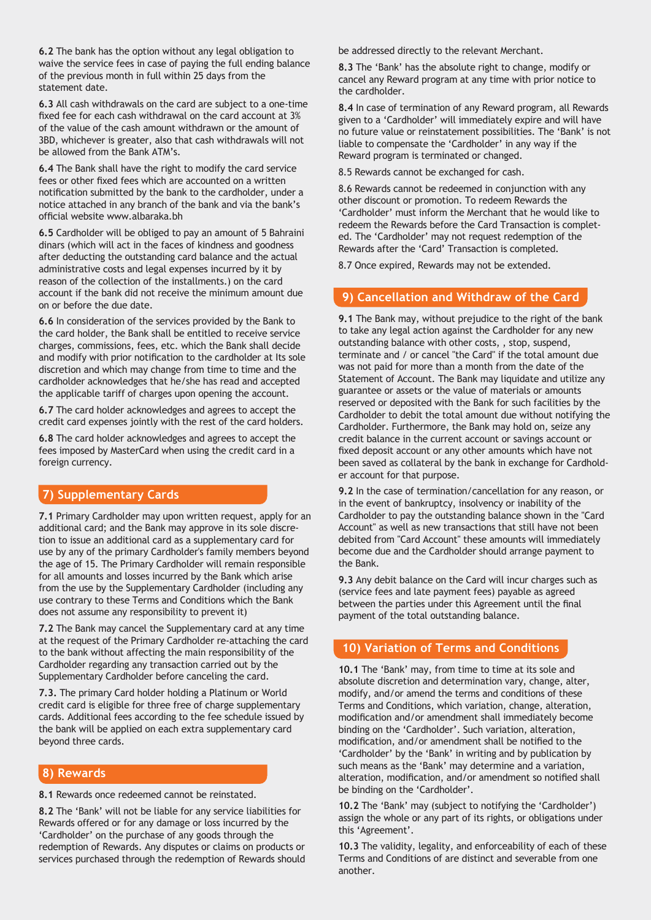**6.2** The bank has the option without any legal obligation to waive the service fees in case of paying the full ending balance of the previous month in full within 25 days from the statement date.

**6.3** All cash withdrawals on the card are subject to a one-time fixed fee for each cash withdrawal on the card account at 3% of the value of the cash amount withdrawn or the amount of 3BD, whichever is greater, also that cash withdrawals will not be allowed from the Bank ATM's.

**6.4** The Bank shall have the right to modify the card service fees or other fixed fees which are accounted on a written notification submitted by the bank to the cardholder, under a notice attached in any branch of the bank and via the bank's official website www.albaraka.bh

**6.5** Cardholder will be obliged to pay an amount of 5 Bahraini dinars (which will act in the faces of kindness and goodness after deducting the outstanding card balance and the actual administrative costs and legal expenses incurred by it by reason of the collection of the installments.) on the card account if the bank did not receive the minimum amount due on or before the due date.

**6.6** In consideration of the services provided by the Bank to the card holder, the Bank shall be entitled to receive service charges, commissions, fees, etc. which the Bank shall decide and modify with prior notification to the cardholder at Its sole discretion and which may change from time to time and the cardholder acknowledges that he/she has read and accepted the applicable tariff of charges upon opening the account.

**6.7** The card holder acknowledges and agrees to accept the credit card expenses jointly with the rest of the card holders.

**6.8** The card holder acknowledges and agrees to accept the fees imposed by MasterCard when using the credit card in a foreign currency.

## **7) Supplementary Cards**

**7.1** Primary Cardholder may upon written request, apply for an additional card; and the Bank may approve in its sole discretion to issue an additional card as a supplementary card for use by any of the primary Cardholder's family members beyond the age of 15. The Primary Cardholder will remain responsible for all amounts and losses incurred by the Bank which arise from the use by the Supplementary Cardholder (including any use contrary to these Terms and Conditions which the Bank does not assume any responsibility to prevent it)

**7.2** The Bank may cancel the Supplementary card at any time at the request of the Primary Cardholder re-attaching the card to the bank without affecting the main responsibility of the Cardholder regarding any transaction carried out by the Supplementary Cardholder before canceling the card.

**7.3.** The primary Card holder holding a Platinum or World credit card is eligible for three free of charge supplementary cards. Additional fees according to the fee schedule issued by the bank will be applied on each extra supplementary card beyond three cards.

#### **8) Rewards**

**8.1** Rewards once redeemed cannot be reinstated.

**8.2** The 'Bank' will not be liable for any service liabilities for Rewards offered or for any damage or loss incurred by the 'Cardholder' on the purchase of any goods through the redemption of Rewards. Any disputes or claims on products or services purchased through the redemption of Rewards should be addressed directly to the relevant Merchant.

**8.3** The 'Bank' has the absolute right to change, modify or cancel any Reward program at any time with prior notice to the cardholder.

**8.4** In case of termination of any Reward program, all Rewards given to a 'Cardholder' will immediately expire and will have no future value or reinstatement possibilities. The 'Bank' is not liable to compensate the 'Cardholder' in any way if the Reward program is terminated or changed.

8.5 Rewards cannot be exchanged for cash.

8.6 Rewards cannot be redeemed in conjunction with any other discount or promotion. To redeem Rewards the 'Cardholder' must inform the Merchant that he would like to redeem the Rewards before the Card Transaction is completed. The 'Cardholder' may not request redemption of the Rewards after the 'Card' Transaction is completed.

8.7 Once expired, Rewards may not be extended.

## **9) Cancellation and Withdraw of the Card**

**9.1** The Bank may, without prejudice to the right of the bank to take any legal action against the Cardholder for any new outstanding balance with other costs, , stop, suspend, terminate and / or cancel "the Card" if the total amount due was not paid for more than a month from the date of the Statement of Account. The Bank may liquidate and utilize any guarantee or assets or the value of materials or amounts reserved or deposited with the Bank for such facilities by the Cardholder to debit the total amount due without notifying the Cardholder. Furthermore, the Bank may hold on, seize any credit balance in the current account or savings account or fixed deposit account or any other amounts which have not been saved as collateral by the bank in exchange for Cardholder account for that purpose.

**9.2** In the case of termination/cancellation for any reason, or in the event of bankruptcy, insolvency or inability of the Cardholder to pay the outstanding balance shown in the "Card Account" as well as new transactions that still have not been debited from "Card Account" these amounts will immediately become due and the Cardholder should arrange payment to the Bank.

**9.3** Any debit balance on the Card will incur charges such as (service fees and late payment fees) payable as agreed between the parties under this Agreement until the final payment of the total outstanding balance.

## **10) Variation of Terms and Conditions**

**10.1** The 'Bank' may, from time to time at its sole and absolute discretion and determination vary, change, alter, modify, and/or amend the terms and conditions of these Terms and Conditions, which variation, change, alteration, modification and/or amendment shall immediately become binding on the 'Cardholder'. Such variation, alteration, modification, and/or amendment shall be notified to the 'Cardholder' by the 'Bank' in writing and by publication by such means as the 'Bank' may determine and a variation, alteration, modification, and/or amendment so notified shall be binding on the 'Cardholder'.

**10.2** The 'Bank' may (subject to notifying the 'Cardholder') assign the whole or any part of its rights, or obligations under this 'Agreement'.

**10.3** The validity, legality, and enforceability of each of these Terms and Conditions of are distinct and severable from one another.